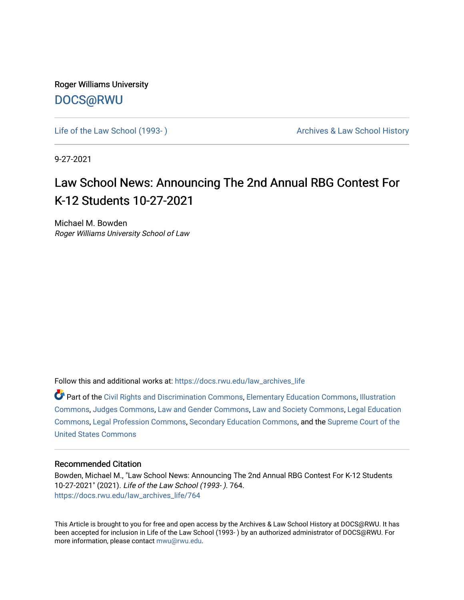Roger Williams University [DOCS@RWU](https://docs.rwu.edu/)

Life of the Law School (1993-) Cases Archives & Law School History

9-27-2021

## Law School News: Announcing The 2nd Annual RBG Contest For K-12 Students 10-27-2021

Michael M. Bowden Roger Williams University School of Law

Follow this and additional works at: [https://docs.rwu.edu/law\\_archives\\_life](https://docs.rwu.edu/law_archives_life?utm_source=docs.rwu.edu%2Flaw_archives_life%2F764&utm_medium=PDF&utm_campaign=PDFCoverPages)

Part of the [Civil Rights and Discrimination Commons,](http://network.bepress.com/hgg/discipline/585?utm_source=docs.rwu.edu%2Flaw_archives_life%2F764&utm_medium=PDF&utm_campaign=PDFCoverPages) [Elementary Education Commons,](http://network.bepress.com/hgg/discipline/1378?utm_source=docs.rwu.edu%2Flaw_archives_life%2F764&utm_medium=PDF&utm_campaign=PDFCoverPages) [Illustration](http://network.bepress.com/hgg/discipline/1135?utm_source=docs.rwu.edu%2Flaw_archives_life%2F764&utm_medium=PDF&utm_campaign=PDFCoverPages) [Commons](http://network.bepress.com/hgg/discipline/1135?utm_source=docs.rwu.edu%2Flaw_archives_life%2F764&utm_medium=PDF&utm_campaign=PDFCoverPages), [Judges Commons,](http://network.bepress.com/hgg/discipline/849?utm_source=docs.rwu.edu%2Flaw_archives_life%2F764&utm_medium=PDF&utm_campaign=PDFCoverPages) [Law and Gender Commons,](http://network.bepress.com/hgg/discipline/1298?utm_source=docs.rwu.edu%2Flaw_archives_life%2F764&utm_medium=PDF&utm_campaign=PDFCoverPages) [Law and Society Commons](http://network.bepress.com/hgg/discipline/853?utm_source=docs.rwu.edu%2Flaw_archives_life%2F764&utm_medium=PDF&utm_campaign=PDFCoverPages), [Legal Education](http://network.bepress.com/hgg/discipline/857?utm_source=docs.rwu.edu%2Flaw_archives_life%2F764&utm_medium=PDF&utm_campaign=PDFCoverPages)  [Commons](http://network.bepress.com/hgg/discipline/857?utm_source=docs.rwu.edu%2Flaw_archives_life%2F764&utm_medium=PDF&utm_campaign=PDFCoverPages), [Legal Profession Commons,](http://network.bepress.com/hgg/discipline/1075?utm_source=docs.rwu.edu%2Flaw_archives_life%2F764&utm_medium=PDF&utm_campaign=PDFCoverPages) [Secondary Education Commons](http://network.bepress.com/hgg/discipline/1382?utm_source=docs.rwu.edu%2Flaw_archives_life%2F764&utm_medium=PDF&utm_campaign=PDFCoverPages), and the [Supreme Court of the](http://network.bepress.com/hgg/discipline/1350?utm_source=docs.rwu.edu%2Flaw_archives_life%2F764&utm_medium=PDF&utm_campaign=PDFCoverPages)  [United States Commons](http://network.bepress.com/hgg/discipline/1350?utm_source=docs.rwu.edu%2Flaw_archives_life%2F764&utm_medium=PDF&utm_campaign=PDFCoverPages) 

## Recommended Citation

Bowden, Michael M., "Law School News: Announcing The 2nd Annual RBG Contest For K-12 Students 10-27-2021" (2021). Life of the Law School (1993- ). 764. [https://docs.rwu.edu/law\\_archives\\_life/764](https://docs.rwu.edu/law_archives_life/764?utm_source=docs.rwu.edu%2Flaw_archives_life%2F764&utm_medium=PDF&utm_campaign=PDFCoverPages)

This Article is brought to you for free and open access by the Archives & Law School History at DOCS@RWU. It has been accepted for inclusion in Life of the Law School (1993- ) by an authorized administrator of DOCS@RWU. For more information, please contact [mwu@rwu.edu](mailto:mwu@rwu.edu).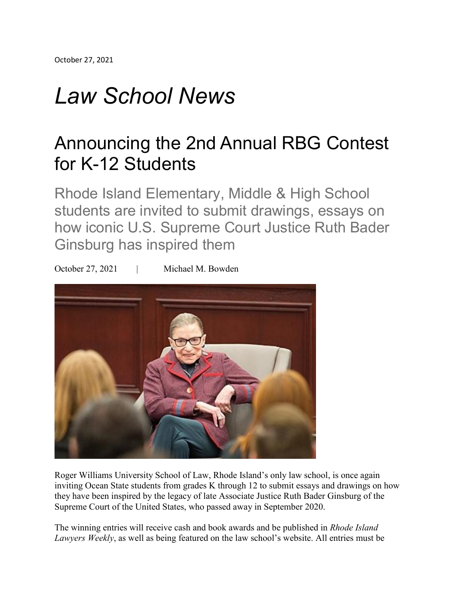## *Law School News*

## Announcing the 2nd Annual RBG Contest for K-12 Students

Rhode Island Elementary, Middle & High School students are invited to submit drawings, essays on how iconic U.S. Supreme Court Justice Ruth Bader Ginsburg has inspired them

October 27, 2021 | Michael M. Bowden



Roger Williams University School of Law, Rhode Island's only law school, is once again inviting Ocean State students from grades K through 12 to submit essays and drawings on how they have been inspired by the legacy of late Associate Justice Ruth Bader Ginsburg of the Supreme Court of the United States, who passed away in September 2020.

The winning entries will receive cash and book awards and be published in *Rhode Island Lawyers Weekly*, as well as being featured on the law school's website. All entries must be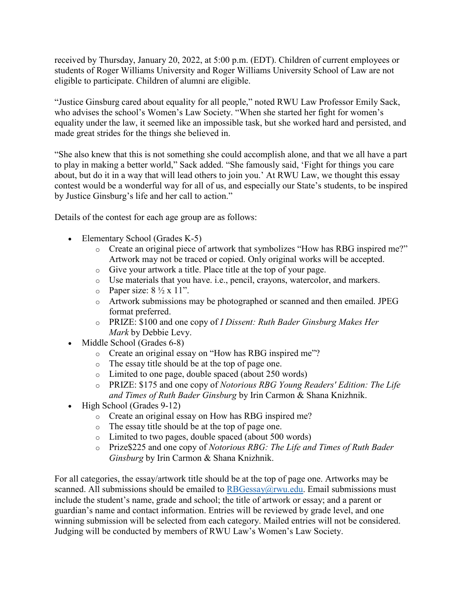received by Thursday, January 20, 2022, at 5:00 p.m. (EDT). Children of current employees or students of Roger Williams University and Roger Williams University School of Law are not eligible to participate. Children of alumni are eligible.

"Justice Ginsburg cared about equality for all people," noted RWU Law Professor Emily Sack, who advises the school's Women's Law Society. "When she started her fight for women's equality under the law, it seemed like an impossible task, but she worked hard and persisted, and made great strides for the things she believed in.

"She also knew that this is not something she could accomplish alone, and that we all have a part to play in making a better world," Sack added. "She famously said, 'Fight for things you care about, but do it in a way that will lead others to join you.' At RWU Law, we thought this essay contest would be a wonderful way for all of us, and especially our State's students, to be inspired by Justice Ginsburg's life and her call to action."

Details of the contest for each age group are as follows:

- Elementary School (Grades K-5)
	- o Create an original piece of artwork that symbolizes "How has RBG inspired me?" Artwork may not be traced or copied. Only original works will be accepted.
	- o Give your artwork a title. Place title at the top of your page.
	- o Use materials that you have. i.e., pencil, crayons, watercolor, and markers.
	- $\circ$  Paper size:  $8\frac{1}{2} \times 11$ ".
	- o Artwork submissions may be photographed or scanned and then emailed. JPEG format preferred.
	- o PRIZE: \$100 and one copy of *I Dissent: Ruth Bader Ginsburg Makes Her Mark* by Debbie Levy.
- Middle School (Grades 6-8)
	- o Create an original essay on "How has RBG inspired me"?
	- o The essay title should be at the top of page one.
	- o Limited to one page, double spaced (about 250 words)
	- o PRIZE: \$175 and one copy of *Notorious RBG Young Readers' Edition: The Life and Times of Ruth Bader Ginsburg* by Irin Carmon & Shana Knizhnik.
- High School (Grades 9-12)
	- o Create an original essay on How has RBG inspired me?
	- o The essay title should be at the top of page one.
	- o Limited to two pages, double spaced (about 500 words)
	- o Prize\$225 and one copy of *Notorious RBG: The Life and Times of Ruth Bader Ginsburg* by Irin Carmon & Shana Knizhnik.

For all categories, the essay/artwork title should be at the top of page one. Artworks may be scanned. All submissions should be emailed to  $RBGessay@rwu.edu$ . Email submissions must include the student's name, grade and school; the title of artwork or essay; and a parent or guardian's name and contact information. Entries will be reviewed by grade level, and one winning submission will be selected from each category. Mailed entries will not be considered. Judging will be conducted by members of RWU Law's Women's Law Society.